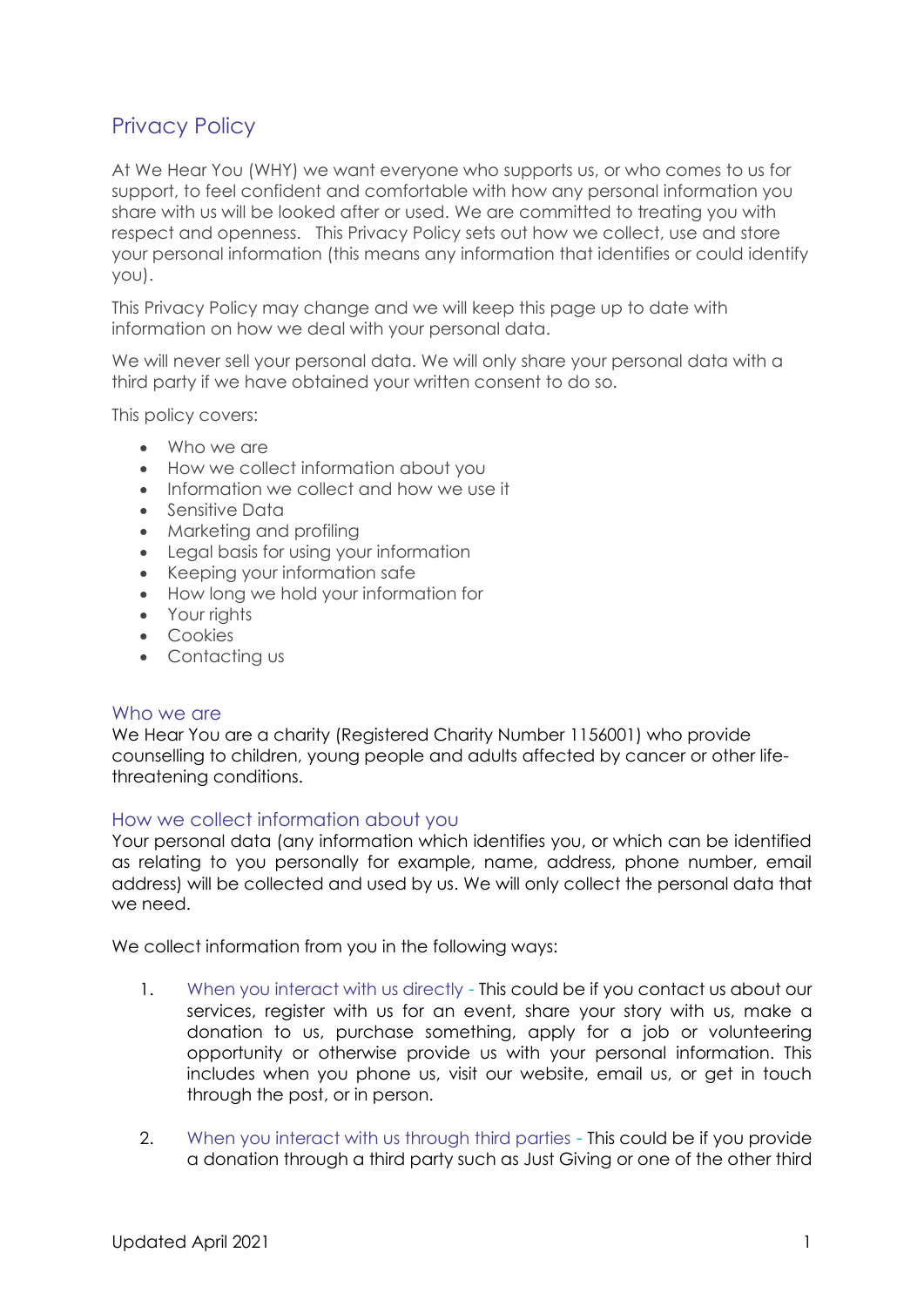# Privacy Policy

At We Hear You (WHY) we want everyone who supports us, or who comes to us for support, to feel confident and comfortable with how any personal information you share with us will be looked after or used. We are committed to treating you with respect and openness. This Privacy Policy sets out how we collect, use and store your personal information (this means any information that identifies or could identify you).

This Privacy Policy may change and we will keep this page up to date with information on how we deal with your personal data.

We will never sell your personal data. We will only share your personal data with a third party if we have obtained your written consent to do so.

This policy covers:

- Who we are
- How we collect information about you
- Information we collect and how we use it
- Sensitive Data
- Marketing and profiling
- Legal basis for using your information
- Keeping your information safe
- How long we hold your information for
- Your rights
- Cookies
- Contacting us

### Who we are

We Hear You are a charity (Registered Charity Number 1156001) who provide counselling to children, young people and adults affected by cancer or other lifethreatening conditions.

### How we collect information about you

Your personal data (any information which identifies you, or which can be identified as relating to you personally for example, name, address, phone number, email address) will be collected and used by us. We will only collect the personal data that we need.

We collect information from you in the following ways:

- 1. When you interact with us directly This could be if you contact us about our services, register with us for an event, share your story with us, make a donation to us, purchase something, apply for a job or volunteering opportunity or otherwise provide us with your personal information. This includes when you phone us, visit our website, email us, or get in touch through the post, or in person.
- 2. When you interact with us through third parties This could be if you provide a donation through a third party such as Just Giving or one of the other third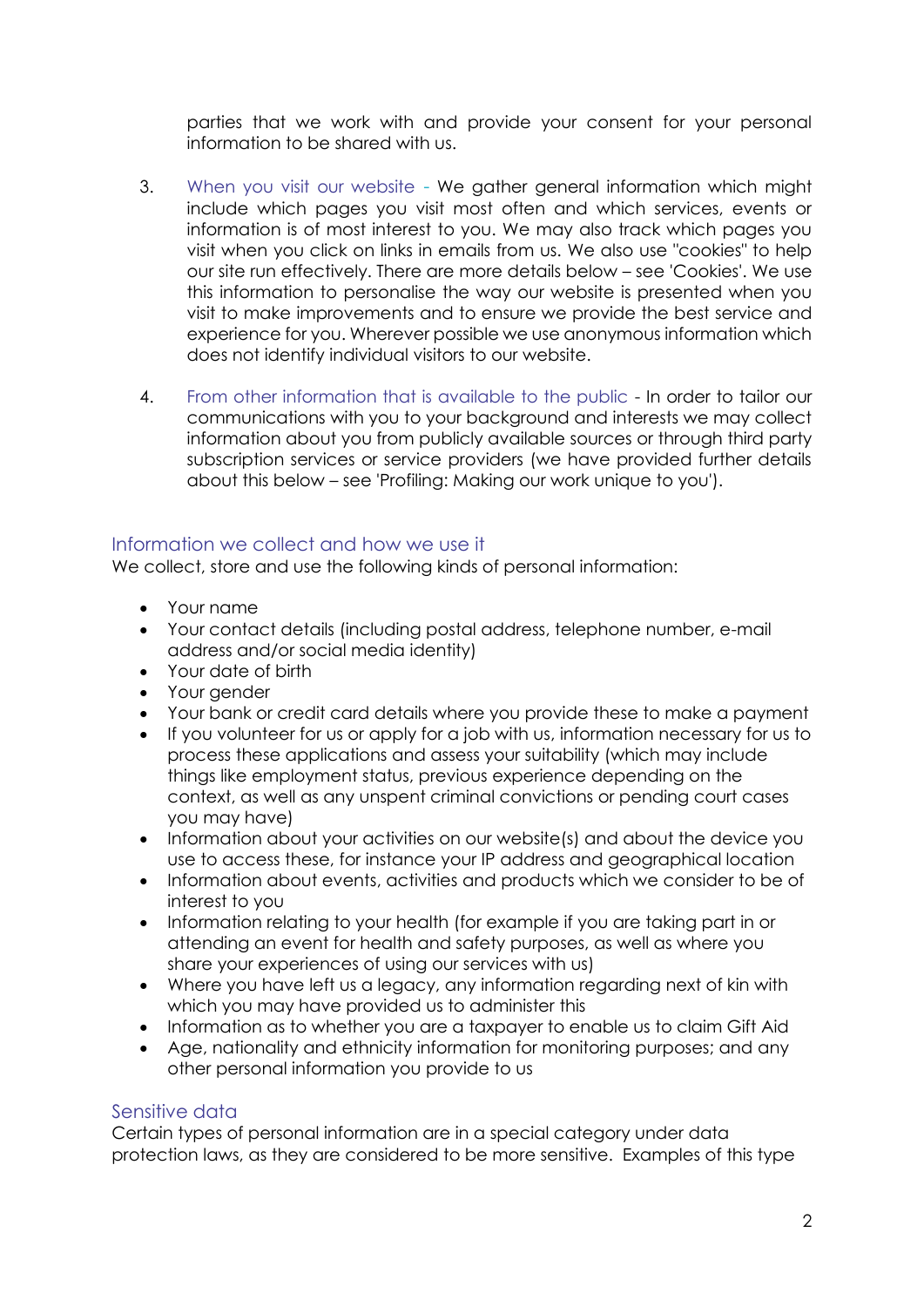parties that we work with and provide your consent for your personal information to be shared with us.

- 3. When you visit our website We gather general information which might include which pages you visit most often and which services, events or information is of most interest to you. We may also track which pages you visit when you click on links in emails from us. We also use "cookies" to help our site run effectively. There are more details below – see 'Cookies'. We use this information to personalise the way our website is presented when you visit to make improvements and to ensure we provide the best service and experience for you. Wherever possible we use anonymous information which does not identify individual visitors to our website.
- 4. From other information that is available to the public In order to tailor our communications with you to your background and interests we may collect information about you from publicly available sources or through third party subscription services or service providers (we have provided further details about this below – see 'Profiling: Making our work unique to you').

### Information we collect and how we use it

We collect, store and use the following kinds of personal information:

- Your name
- Your contact details (including postal address, telephone number, e-mail address and/or social media identity)
- Your date of birth
- Your gender
- Your bank or credit card details where you provide these to make a payment
- If you volunteer for us or apply for a job with us, information necessary for us to process these applications and assess your suitability (which may include things like employment status, previous experience depending on the context, as well as any unspent criminal convictions or pending court cases you may have)
- Information about your activities on our website(s) and about the device you use to access these, for instance your IP address and geographical location
- Information about events, activities and products which we consider to be of interest to you
- Information relating to your health (for example if you are taking part in or attending an event for health and safety purposes, as well as where you share your experiences of using our services with us)
- Where you have left us a legacy, any information regarding next of kin with which you may have provided us to administer this
- Information as to whether you are a taxpayer to enable us to claim Gift Aid
- Age, nationality and ethnicity information for monitoring purposes; and any other personal information you provide to us

### Sensitive data

Certain types of personal information are in a special category under data protection laws, as they are considered to be more sensitive. Examples of this type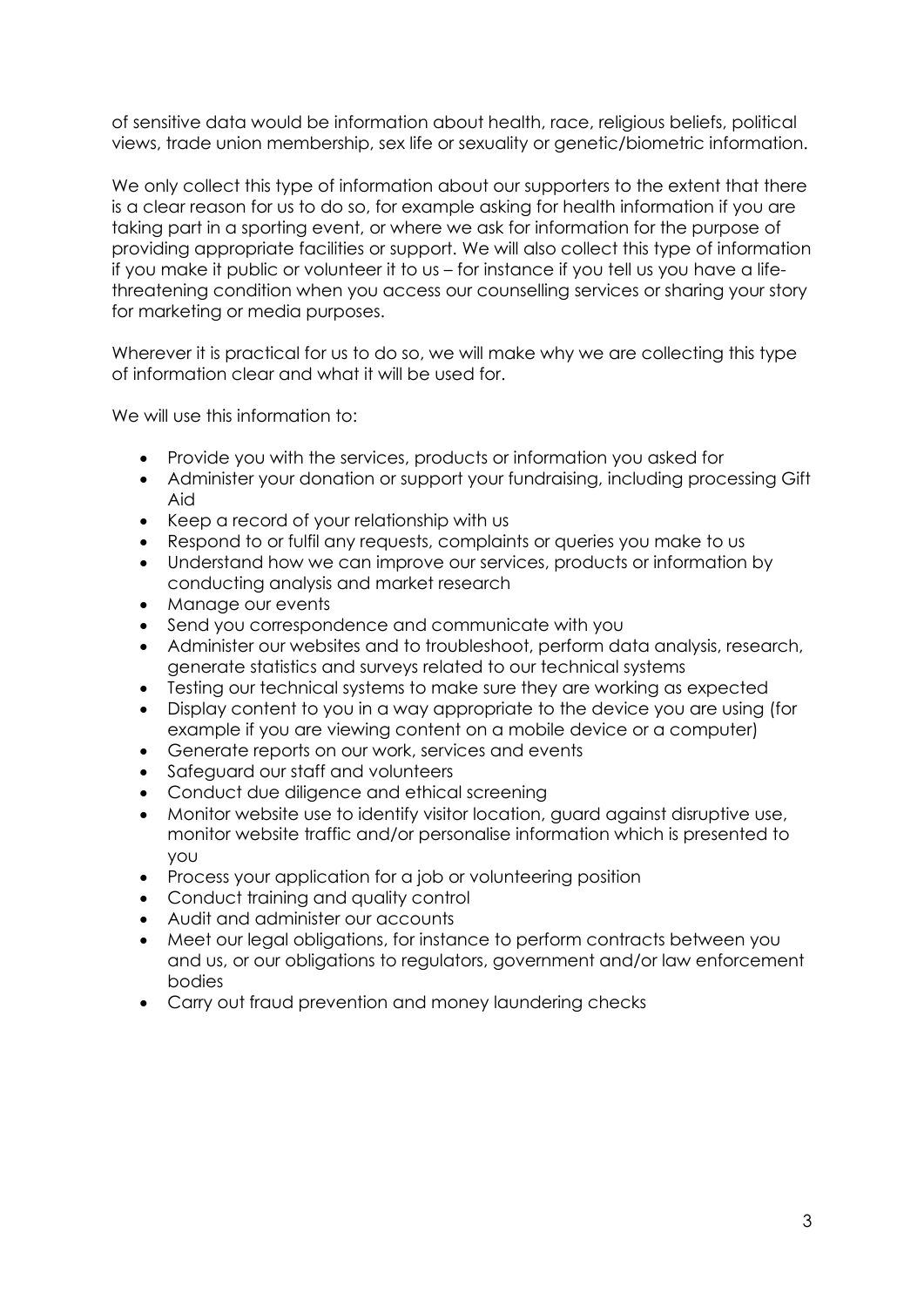of sensitive data would be information about health, race, religious beliefs, political views, trade union membership, sex life or sexuality or genetic/biometric information.

We only collect this type of information about our supporters to the extent that there is a clear reason for us to do so, for example asking for health information if you are taking part in a sporting event, or where we ask for information for the purpose of providing appropriate facilities or support. We will also collect this type of information if you make it public or volunteer it to us – for instance if you tell us you have a lifethreatening condition when you access our counselling services or sharing your story for marketing or media purposes.

Wherever it is practical for us to do so, we will make why we are collecting this type of information clear and what it will be used for.

We will use this information to:

- Provide you with the services, products or information you asked for
- Administer your donation or support your fundraising, including processing Gift Aid
- Keep a record of your relationship with us
- Respond to or fulfil any requests, complaints or queries you make to us
- Understand how we can improve our services, products or information by conducting analysis and market research
- Manage our events
- Send you correspondence and communicate with you
- Administer our websites and to troubleshoot, perform data analysis, research, generate statistics and surveys related to our technical systems
- Testing our technical systems to make sure they are working as expected
- Display content to you in a way appropriate to the device you are using (for example if you are viewing content on a mobile device or a computer)
- Generate reports on our work, services and events
- Safeguard our staff and volunteers
- Conduct due diligence and ethical screening
- Monitor website use to identify visitor location, guard against disruptive use, monitor website traffic and/or personalise information which is presented to you
- Process your application for a job or volunteering position
- Conduct training and quality control
- Audit and administer our accounts
- Meet our legal obligations, for instance to perform contracts between you and us, or our obligations to regulators, government and/or law enforcement bodies
- Carry out fraud prevention and money laundering checks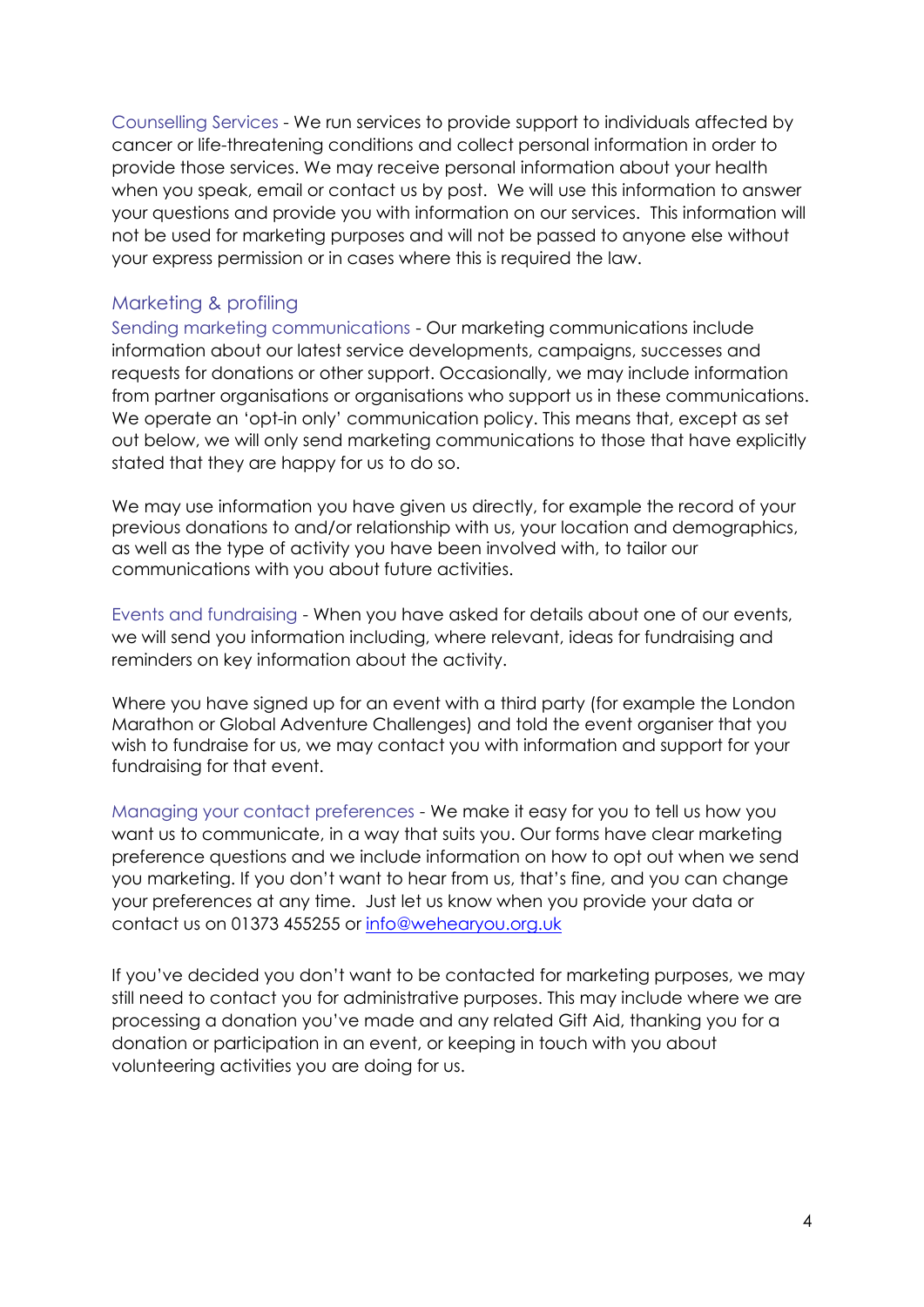Counselling Services - We run services to provide support to individuals affected by cancer or life-threatening conditions and collect personal information in order to provide those services. We may receive personal information about your health when you speak, email or contact us by post. We will use this information to answer your questions and provide you with information on our services. This information will not be used for marketing purposes and will not be passed to anyone else without your express permission or in cases where this is required the law.

### Marketing & profiling

Sending marketing communications - Our marketing communications include information about our latest service developments, campaigns, successes and requests for donations or other support. Occasionally, we may include information from partner organisations or organisations who support us in these communications. We operate an 'opt-in only' communication policy. This means that, except as set out below, we will only send marketing communications to those that have explicitly stated that they are happy for us to do so.

We may use information you have given us directly, for example the record of your previous donations to and/or relationship with us, your location and demographics, as well as the type of activity you have been involved with, to tailor our communications with you about future activities.

Events and fundraising - When you have asked for details about one of our events, we will send you information including, where relevant, ideas for fundraising and reminders on key information about the activity.

Where you have signed up for an event with a third party (for example the London Marathon or Global Adventure Challenges) and told the event organiser that you wish to fundraise for us, we may contact you with information and support for your fundraising for that event.

Managing your contact preferences - We make it easy for you to tell us how you want us to communicate, in a way that suits you. Our forms have clear marketing preference questions and we include information on how to opt out when we send you marketing. If you don't want to hear from us, that's fine, and you can change your preferences at any time. Just let us know when you provide your data or contact us on 01373 455255 or [info@wehearyou.org.uk](mailto:info@wehearyou.org.uk)

If you've decided you don't want to be contacted for marketing purposes, we may still need to contact you for administrative purposes. This may include where we are processing a donation you've made and any related Gift Aid, thanking you for a donation or participation in an event, or keeping in touch with you about volunteering activities you are doing for us.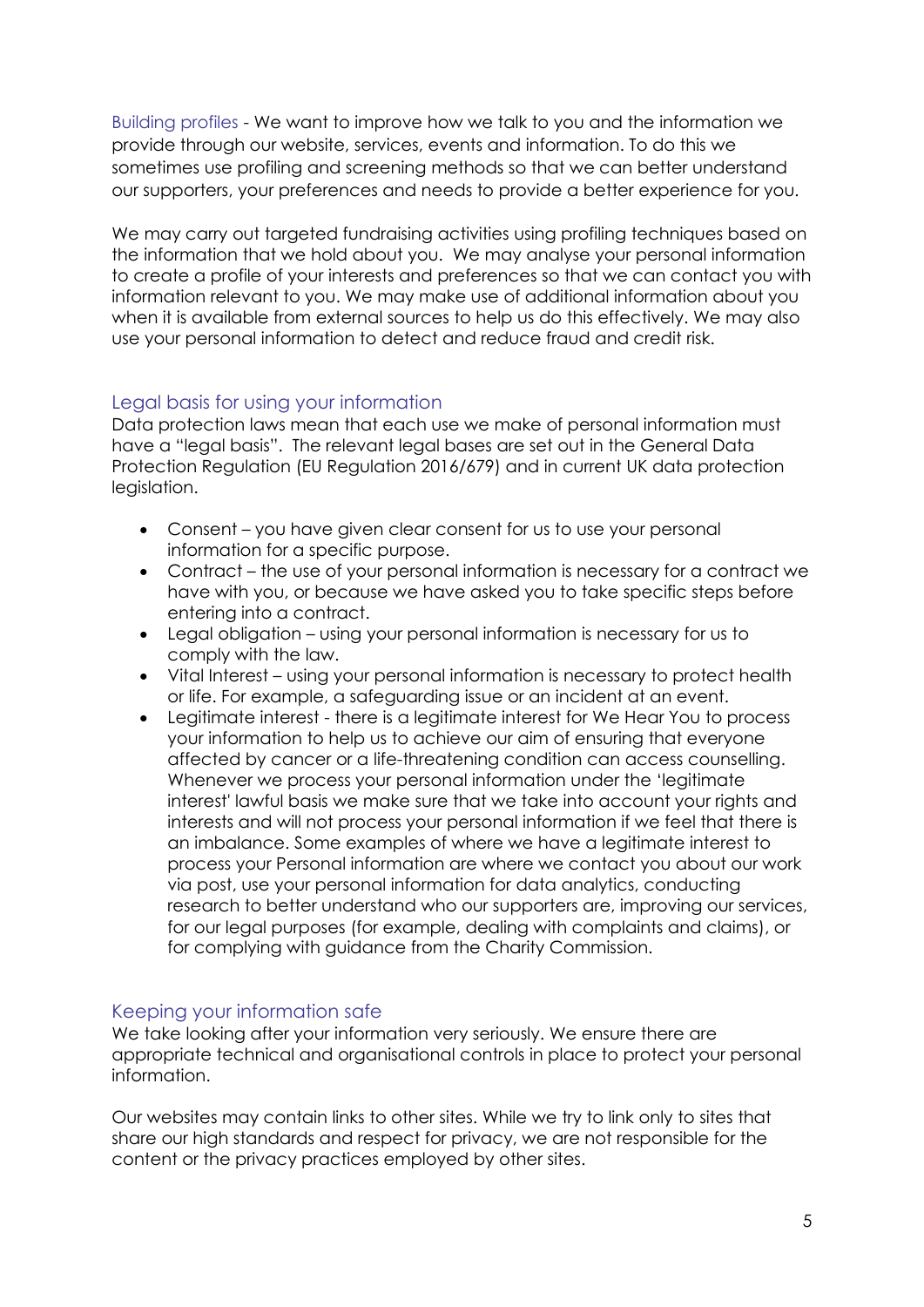Building profiles - We want to improve how we talk to you and the information we provide through our website, services, events and information. To do this we sometimes use profiling and screening methods so that we can better understand our supporters, your preferences and needs to provide a better experience for you.

We may carry out targeted fundraising activities using profiling techniques based on the information that we hold about you. We may analyse your personal information to create a profile of your interests and preferences so that we can contact you with information relevant to you. We may make use of additional information about you when it is available from external sources to help us do this effectively. We may also use your personal information to detect and reduce fraud and credit risk.

# Legal basis for using your information

Data protection laws mean that each use we make of personal information must have a "legal basis". The relevant legal bases are set out in the General Data Protection Regulation (EU Regulation 2016/679) and in current UK data protection legislation.

- Consent you have given clear consent for us to use your personal information for a specific purpose.
- Contract the use of your personal information is necessary for a contract we have with you, or because we have asked you to take specific steps before entering into a contract.
- Legal obligation using your personal information is necessary for us to comply with the law.
- Vital Interest using your personal information is necessary to protect health or life. For example, a safeguarding issue or an incident at an event.
- Legitimate interest there is a legitimate interest for We Hear You to process your information to help us to achieve our aim of ensuring that everyone affected by cancer or a life-threatening condition can access counselling. Whenever we process your personal information under the 'legitimate interest' lawful basis we make sure that we take into account your rights and interests and will not process your personal information if we feel that there is an imbalance. Some examples of where we have a legitimate interest to process your Personal information are where we contact you about our work via post, use your personal information for data analytics, conducting research to better understand who our supporters are, improving our services, for our legal purposes (for example, dealing with complaints and claims), or for complying with guidance from the Charity Commission.

# Keeping your information safe

We take looking after your information very seriously. We ensure there are appropriate technical and organisational controls in place to protect your personal information.

Our websites may contain links to other sites. While we try to link only to sites that share our high standards and respect for privacy, we are not responsible for the content or the privacy practices employed by other sites.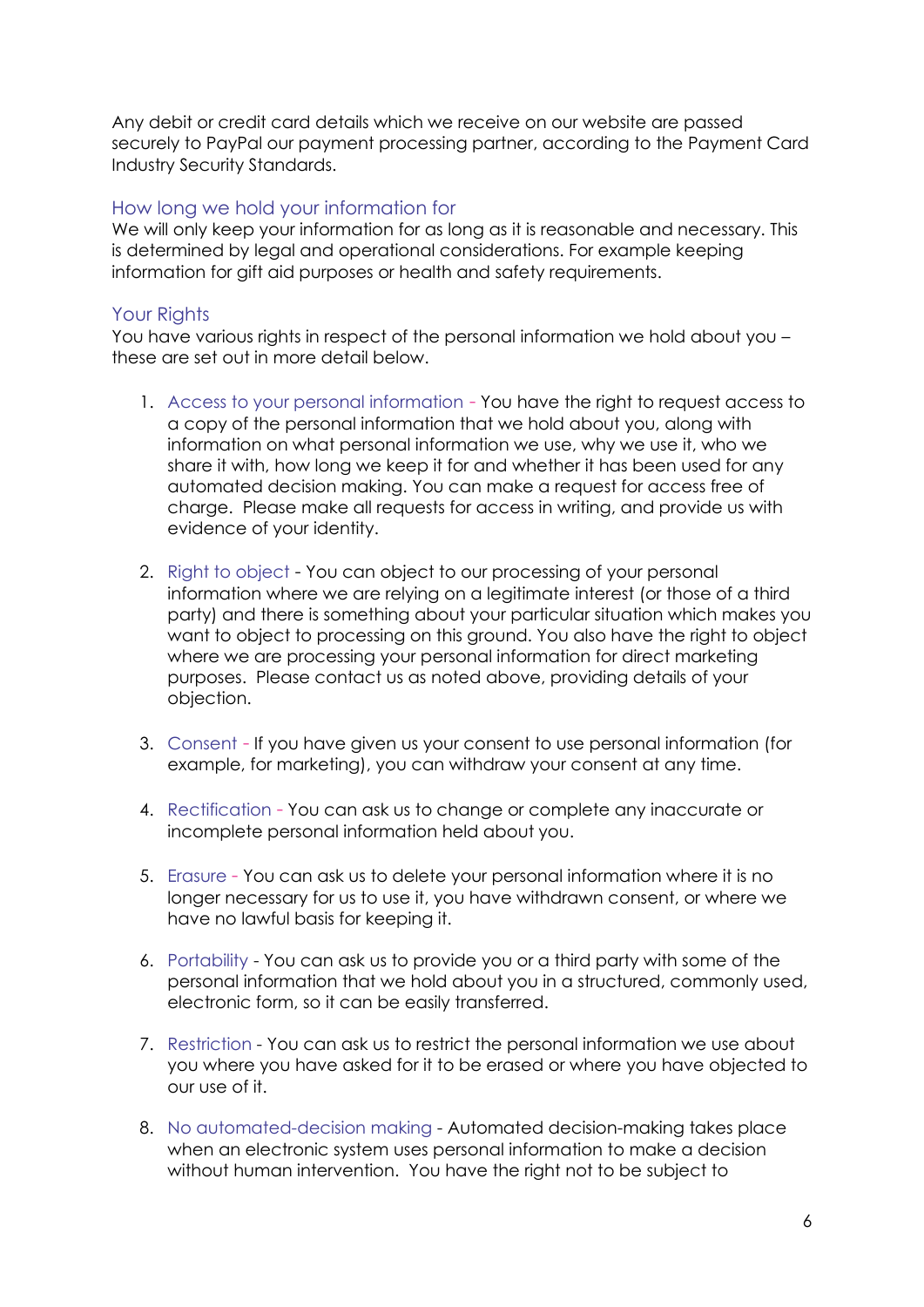Any debit or credit card details which we receive on our website are passed securely to PayPal our payment processing partner, according to the Payment Card Industry Security Standards.

# How long we hold your information for

We will only keep your information for as long as it is reasonable and necessary. This is determined by legal and operational considerations. For example keeping information for gift aid purposes or health and safety requirements.

# Your Rights

You have various rights in respect of the personal information we hold about you – these are set out in more detail below.

- 1. Access to your personal information You have the right to request access to a copy of the personal information that we hold about you, along with information on what personal information we use, why we use it, who we share it with, how long we keep it for and whether it has been used for any automated decision making. You can make a request for access free of charge. Please make all requests for access in writing, and provide us with evidence of your identity.
- 2. Right to object You can object to our processing of your personal information where we are relying on a legitimate interest (or those of a third party) and there is something about your particular situation which makes you want to object to processing on this ground. You also have the right to object where we are processing your personal information for direct marketing purposes. Please contact us as noted above, providing details of your objection.
- 3. Consent If you have given us your consent to use personal information (for example, for marketing), you can withdraw your consent at any time.
- 4. Rectification You can ask us to change or complete any inaccurate or incomplete personal information held about you.
- 5. Erasure You can ask us to delete your personal information where it is no longer necessary for us to use it, you have withdrawn consent, or where we have no lawful basis for keeping it.
- 6. Portability You can ask us to provide you or a third party with some of the personal information that we hold about you in a structured, commonly used, electronic form, so it can be easily transferred.
- 7. Restriction You can ask us to restrict the personal information we use about you where you have asked for it to be erased or where you have objected to our use of it.
- 8. No automated-decision making Automated decision-making takes place when an electronic system uses personal information to make a decision without human intervention. You have the right not to be subject to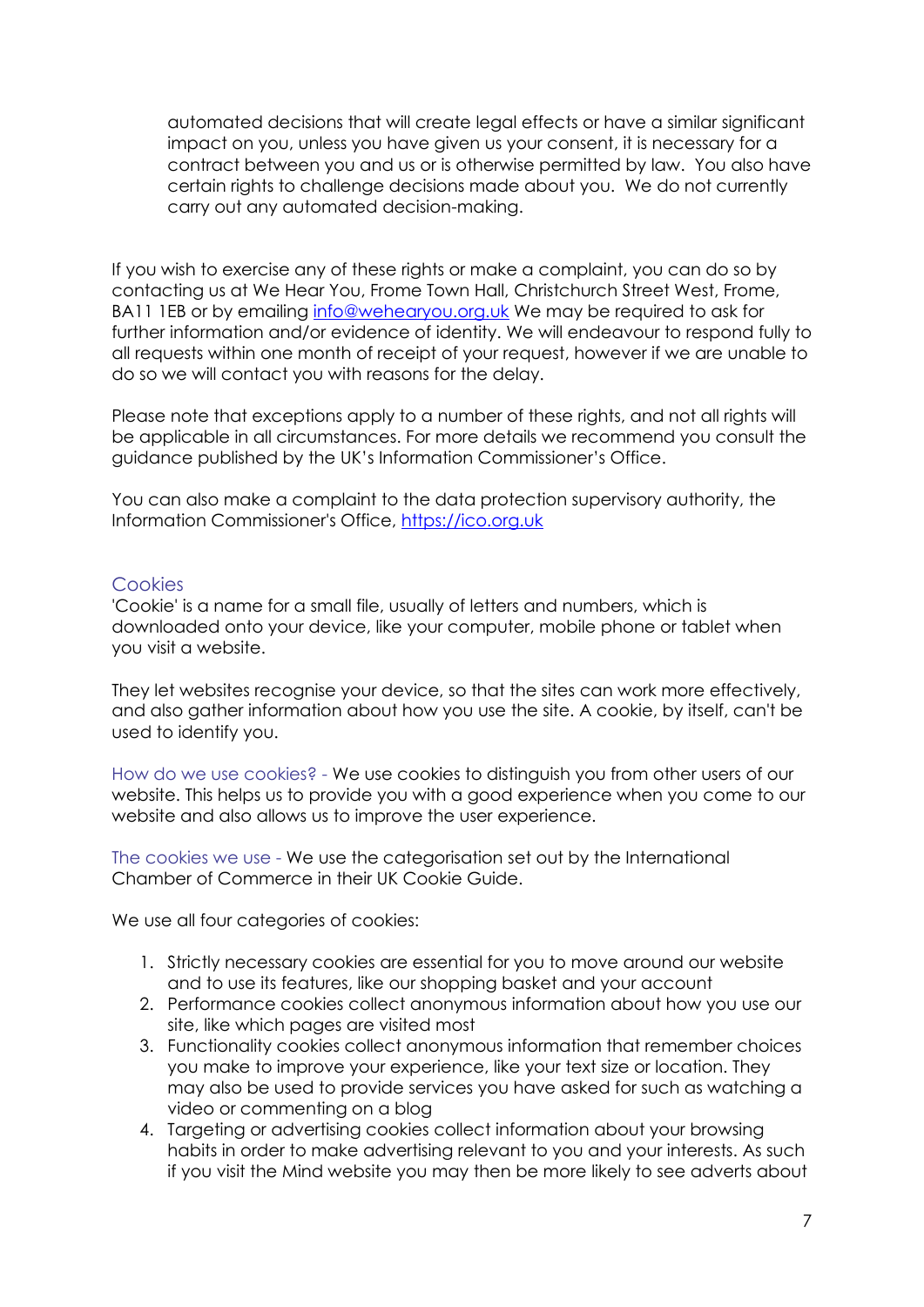automated decisions that will create legal effects or have a similar significant impact on you, unless you have given us your consent, it is necessary for a contract between you and us or is otherwise permitted by law. You also have certain rights to challenge decisions made about you. We do not currently carry out any automated decision-making.

If you wish to exercise any of these rights or make a complaint, you can do so by contacting us at We Hear You, Frome Town Hall, Christchurch Street West, Frome, BA11 1EB or by emailing [info@wehearyou.org.uk](mailto:info@wehearyou.org.uk) We may be required to ask for further information and/or evidence of identity. We will endeavour to respond fully to all requests within one month of receipt of your request, however if we are unable to do so we will contact you with reasons for the delay.

Please note that exceptions apply to a number of these rights, and not all rights will be applicable in all circumstances. For more details we recommend you consult the guidance published by the UK's Information Commissioner's Office.

You can also make a complaint to the data protection supervisory authority, the Information Commissioner's Office, [https://ico.org.uk](https://ico.org.uk/)

### Cookies

'Cookie' is a name for a small file, usually of letters and numbers, which is downloaded onto your device, like your computer, mobile phone or tablet when you visit a website.

They let websites recognise your device, so that the sites can work more effectively, and also gather information about how you use the site. A cookie, by itself, can't be used to identify you.

How do we use cookies? - We use cookies to distinguish you from other users of our website. This helps us to provide you with a good experience when you come to our website and also allows us to improve the user experience.

The cookies we use - We use the categorisation set out by the International Chamber of Commerce in their UK Cookie Guide.

We use all four categories of cookies:

- 1. Strictly necessary cookies are essential for you to move around our website and to use its features, like our shopping basket and your account
- 2. Performance cookies collect anonymous information about how you use our site, like which pages are visited most
- 3. Functionality cookies collect anonymous information that remember choices you make to improve your experience, like your text size or location. They may also be used to provide services you have asked for such as watching a video or commenting on a blog
- 4. Targeting or advertising cookies collect information about your browsing habits in order to make advertising relevant to you and your interests. As such if you visit the Mind website you may then be more likely to see adverts about